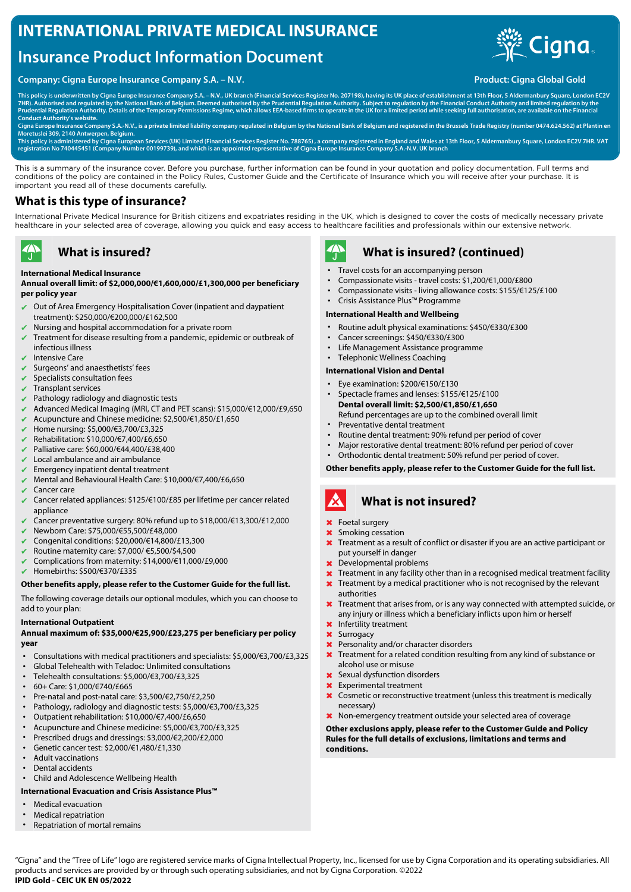# **INTERNATIONAL PRIVATE MEDICAL INSURANCE**

# **Insurance Product Information Document**

### **Company: Cigna Europe Insurance Company S.A. – N.V. Product: Cigna Global Gold**



**This policy is underwritten by Cigna Europe Insurance Company S.A. – N.V., UK branch (Financial Services Register No. 207198), having its UK place of establishment at 13th Floor, 5 Aldermanbury Square, London EC2V** 7HR). Authorised and regulated by the National Bank of Belgium. Deemed authorised by the Prudential Regulation Authority. Subject to regulation by the Financial Conduct Authority and limited regulation by the<br>Prudential Re **Conduct Authority's website.**

**Cigna Europe Insurance Company S.A.-N.V., is a private limited liability company regulated in Belgium by the National Bank of Belgium and registered in the Brussels Trade Registry (number 0474.624.562) at Plantin en Moretuslei 309, 2140 Antwerpen, Belgium.**

This policy is administered by Cigna European Services (UK) Limited (Financial Services Register No. 788765) , a company registered in England and Wales at 13th Floor, 5 Aldermanbury Square, London EC2V 7HR. VAT<br>registrati

This is a summary of the insurance cover. Before you purchase, further information can be found in your quotation and policy documentation. Full terms and conditions of the policy are contained in the Policy Rules, Customer Guide and the Certificate of Insurance which you will receive after your purchase. It is important you read all of these documents carefully.

### **What is this type of insurance?**

International Private Medical Insurance for British citizens and expatriates residing in the UK, which is designed to cover the costs of medically necessary private healthcare in your selected area of coverage, allowing you quick and easy access to healthcare facilities and professionals within our extensive network.

#### $\blacktriangleleft$ **What is insured?**

#### **International Medical Insurance**

**Annual overall limit: of \$2,000,000/€1,600,000/£1,300,000 per beneficiary per policy year**

- ✔ Out of Area Emergency Hospitalisation Cover (inpatient and daypatient treatment): \$250,000/€200,000/£162,500
- Nursing and hospital accommodation for a private room
- $\vee$  Treatment for disease resulting from a pandemic, epidemic or outbreak of infectious illness
- Intensive Care
- Surgeons' and anaesthetists' fees
- Specialists consultation fees
- ✔ Transplant services
- Pathology radiology and diagnostic tests
- ✔ Advanced Medical Imaging (MRI, CT and PET scans): \$15,000/€12,000/£9,650
- ✔ Acupuncture and Chinese medicine: \$2,500/€1,850/£1,650
- ✔ Home nursing: \$5,000/€3,700/£3,325
- ✔ Rehabilitation: \$10,000/€7,400/£6,650
- ✔ Palliative care: \$60,000/€44,400/£38,400
- Local ambulance and air ambulance
- Emergency inpatient dental treatment
- ✔ Mental and Behavioural Health Care: \$10,000/€7,400/£6,650
- Cancer care
- Cancer related appliances: \$125/€100/£85 per lifetime per cancer related appliance
- Cancer preventative surgery: 80% refund up to  $$18,000/\text{\textsterling}13,300/\text{\textsterling}12,000$
- ✔ Newborn Care: \$75,000/€55,500/£48,000
- ✔ Congenital conditions: \$20,000/€14,800/£13,300
- $✓$  Routine maternity care: \$7,000/ €5,500/\$4,500
- ✔ Complications from maternity: \$14,000/€11,000/£9,000
- ✔ Homebirths: \$500/€370/£335

#### **Other benefits apply, please refer to the Customer Guide for the full list.**

The following coverage details our optional modules, which you can choose to add to your plan:

#### **International Outpatient**

#### **Annual maximum of: \$35,000/€25,900/£23,275 per beneficiary per policy year**

- Consultations with medical practitioners and specialists: \$5,000/€3,700/£3,325
- Global Telehealth with Teladoc: Unlimited consultations
- Telehealth consultations: \$5,000/€3,700/£3,325
- 60+ Care: \$1,000/€740/£665
- Pre-natal and post-natal care: \$3,500/€2,750/£2,250
- Pathology, radiology and diagnostic tests: \$5,000/€3,700/£3,325
- Outpatient rehabilitation: \$10,000/€7,400/£6,650
- Acupuncture and Chinese medicine: \$5,000/€3,700/£3,325
- Prescribed drugs and dressings: \$3,000/€2,200/£2,000
- Genetic cancer test: \$2,000/€1,480/£1,330
- Adult vaccinations
- Dental accidents
- Child and Adolescence Wellbeing Health

#### **International Evacuation and Crisis Assistance Plus™**

- Medical evacuation
- Medical repatriation
- Repatriation of mortal remains



### **What is insured? (continued)**

- Travel costs for an accompanying person
- Compassionate visits travel costs: \$1,200/€1,000/£800
- Compassionate visits living allowance costs: \$155/€125/£100
- Crisis Assistance Plus™ Programme

#### **International Health and Wellbeing**

- Routine adult physical examinations: \$450/€330/£300
- Cancer screenings: \$450/€330/£300
- Life Management Assistance programme
- Telephonic Wellness Coaching

#### **International Vision and Dental**

- Eye examination: \$200/€150/£130
- Spectacle frames and lenses: \$155/€125/£100 **Dental overall limit: \$2,500/€1,850/£1,650** Refund percentages are up to the combined overall limit
- Preventative dental treatment
- Routine dental treatment: 90% refund per period of cover
- Major restorative dental treatment: 80% refund per period of cover
- Orthodontic dental treatment: 50% refund per period of cover.

**Other benefits apply, please refer to the Customer Guide for the full list.**

#### A **What is not insured?**

- ✖ Foetal surgery
- ✖ Smoking cessation
- **X** Treatment as a result of conflict or disaster if you are an active participant or put yourself in danger
- ✖ Developmental problems
- $\boldsymbol{\times}$  Treatment in any facility other than in a recognised medical treatment facility
- **x** Treatment by a medical practitioner who is not recognised by the relevant
- authorities
- **X** Treatment that arises from, or is any way connected with attempted suicide, or any injury or illness which a beneficiary inflicts upon him or herself
- ✖ Infertility treatment
- ✖ Surrogacy
- ✖ Personality and/or character disorders
- ✖ Treatment for a related condition resulting from any kind of substance or alcohol use or misuse
- ✖ Sexual dysfunction disorders
- ✖ Experimental treatment
- **X** Cosmetic or reconstructive treatment (unless this treatment is medically necessary)
- ✖ Non-emergency treatment outside your selected area of coverage

**Other exclusions apply, please refer to the Customer Guide and Policy Rules for the full details of exclusions, limitations and terms and conditions.**

"Cigna" and the "Tree of Life" logo are registered service marks of Cigna Intellectual Property, Inc., licensed for use by Cigna Corporation and its operating subsidiaries. All products and services are provided by or through such operating subsidiaries, and not by Cigna Corporation. ©2022 **IPID Gold - CEIC UK EN 05/2022**